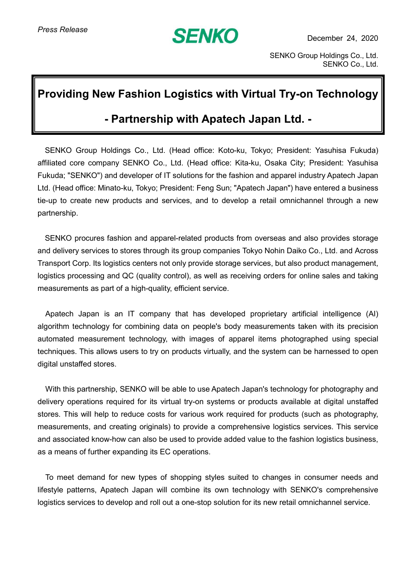# **SENKO**

## **Providing New Fashion Logistics with Virtual Try-on Technology**

## **- Partnership with Apatech Japan Ltd. -**

SENKO Group Holdings Co., Ltd. (Head office: Koto-ku, Tokyo; President: Yasuhisa Fukuda) affiliated core company SENKO Co., Ltd. (Head office: Kita-ku, Osaka City; President: Yasuhisa Fukuda; "SENKO") and developer of IT solutions for the fashion and apparel industry Apatech Japan Ltd. (Head office: Minato-ku, Tokyo; President: Feng Sun; "Apatech Japan") have entered a business tie-up to create new products and services, and to develop a retail omnichannel through a new partnership.

SENKO procures fashion and apparel-related products from overseas and also provides storage and delivery services to stores through its group companies Tokyo Nohin Daiko Co., Ltd. and Across Transport Corp. Its logistics centers not only provide storage services, but also product management, logistics processing and QC (quality control), as well as receiving orders for online sales and taking measurements as part of a high-quality, efficient service.

Apatech Japan is an IT company that has developed proprietary artificial intelligence (AI) algorithm technology for combining data on people's body measurements taken with its precision automated measurement technology, with images of apparel items photographed using special techniques. This allows users to try on products virtually, and the system can be harnessed to open digital unstaffed stores.

With this partnership, SENKO will be able to use Apatech Japan's technology for photography and delivery operations required for its virtual try-on systems or products available at digital unstaffed stores. This will help to reduce costs for various work required for products (such as photography, measurements, and creating originals) to provide a comprehensive logistics services. This service and associated know-how can also be used to provide added value to the fashion logistics business, as a means of further expanding its EC operations.

To meet demand for new types of shopping styles suited to changes in consumer needs and lifestyle patterns, Apatech Japan will combine its own technology with SENKO's comprehensive logistics services to develop and roll out a one-stop solution for its new retail omnichannel service.